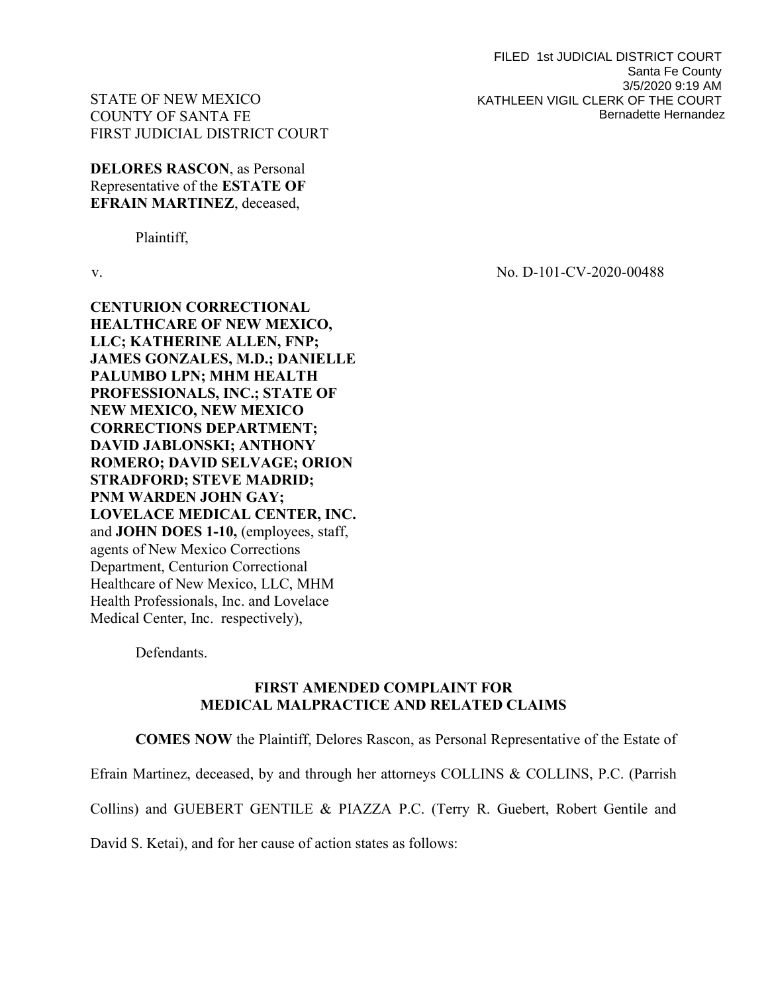FILED 1st JUDICIAL DISTRICT COURT Santa Fe County 3/5/2020 9:19 AM KATHLEEN VIGIL CLERK OF THE COURT Bernadette Hernandez

# STATE OF NEW MEXICO COUNTY OF SANTA FE FIRST JUDICIAL DISTRICT COURT

DELORES RASCON, as Personal Representative of the ESTATE OF EFRAIN MARTINEZ, deceased,

Plaintiff,

CENTURION CORRECTIONAL HEALTHCARE OF NEW MEXICO, LLC; KATHERINE ALLEN, FNP; JAMES GONZALES, M.D.; DANIELLE PALUMBO LPN; MHM HEALTH PROFESSIONALS, INC.; STATE OF NEW MEXICO, NEW MEXICO CORRECTIONS DEPARTMENT; DAVID JABLONSKI; ANTHONY ROMERO; DAVID SELVAGE; ORION STRADFORD; STEVE MADRID; PNM WARDEN JOHN GAY; LOVELACE MEDICAL CENTER, INC. and JOHN DOES 1-10, (employees, staff, agents of New Mexico Corrections Department, Centurion Correctional Healthcare of New Mexico, LLC, MHM Health Professionals, Inc. and Lovelace Medical Center, Inc. respectively),

Defendants.

# FIRST AMENDED COMPLAINT FOR MEDICAL MALPRACTICE AND RELATED CLAIMS

COMES NOW the Plaintiff, Delores Rascon, as Personal Representative of the Estate of Efrain Martinez, deceased, by and through her attorneys COLLINS & COLLINS, P.C. (Parrish Collins) and GUEBERT GENTILE & PIAZZA P.C. (Terry R. Guebert, Robert Gentile and

David S. Ketai), and for her cause of action states as follows:

v. No. D-101-CV-2020-00488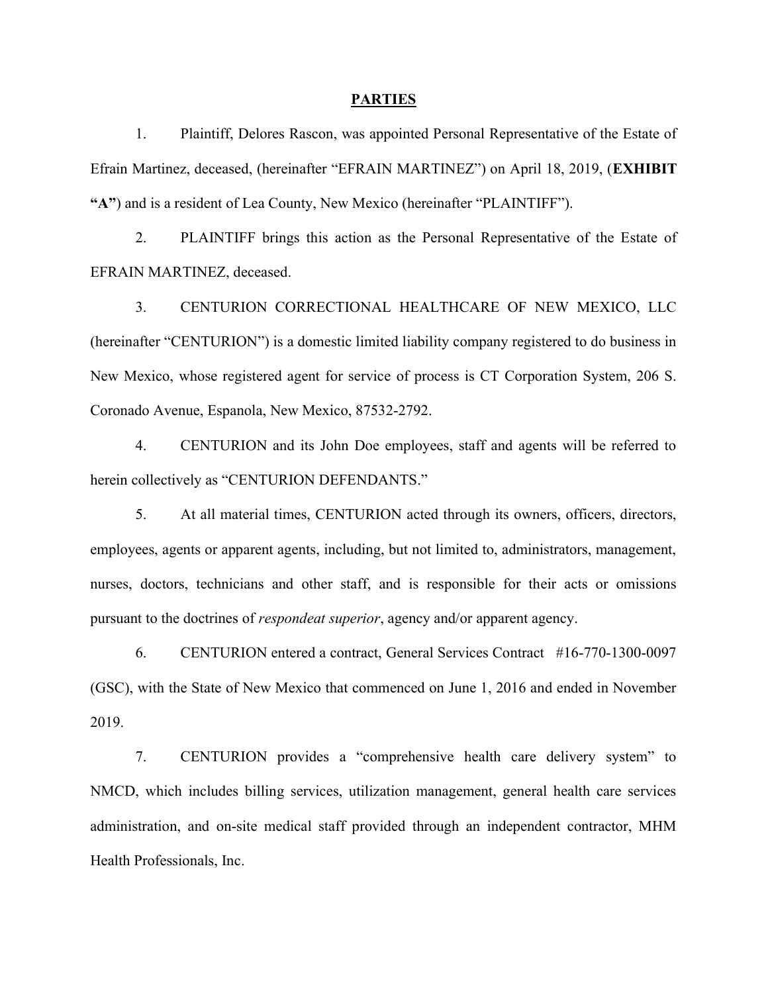#### PARTIES

1. Plaintiff, Delores Rascon, was appointed Personal Representative of the Estate of Efrain Martinez, deceased, (hereinafter "EFRAIN MARTINEZ") on April 18, 2019, (EXHIBIT "A") and is a resident of Lea County, New Mexico (hereinafter "PLAINTIFF").

2. PLAINTIFF brings this action as the Personal Representative of the Estate of EFRAIN MARTINEZ, deceased.

3. CENTURION CORRECTIONAL HEALTHCARE OF NEW MEXICO, LLC (hereinafter "CENTURION") is a domestic limited liability company registered to do business in New Mexico, whose registered agent for service of process is CT Corporation System, 206 S. Coronado Avenue, Espanola, New Mexico, 87532-2792.

4. CENTURION and its John Doe employees, staff and agents will be referred to herein collectively as "CENTURION DEFENDANTS."

5. At all material times, CENTURION acted through its owners, officers, directors, employees, agents or apparent agents, including, but not limited to, administrators, management, nurses, doctors, technicians and other staff, and is responsible for their acts or omissions pursuant to the doctrines of respondeat superior, agency and/or apparent agency.

6. CENTURION entered a contract, General Services Contract #16-770-1300-0097 (GSC), with the State of New Mexico that commenced on June 1, 2016 and ended in November 2019.

7. CENTURION provides a "comprehensive health care delivery system" to NMCD, which includes billing services, utilization management, general health care services administration, and on-site medical staff provided through an independent contractor, MHM Health Professionals, Inc.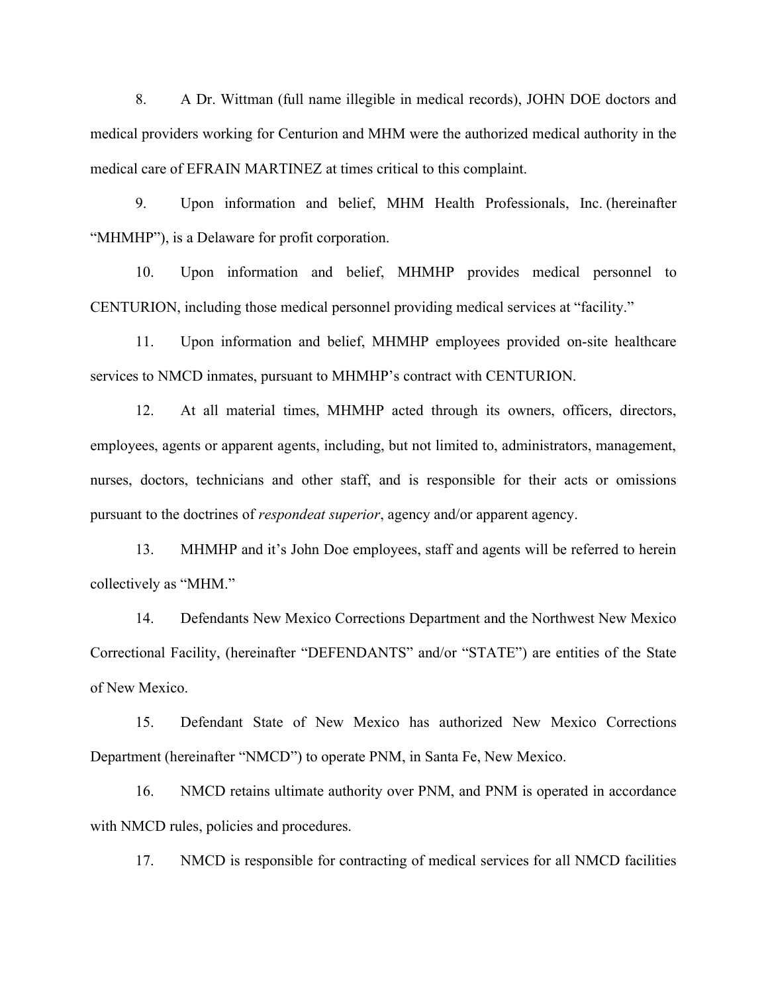8. A Dr. Wittman (full name illegible in medical records), JOHN DOE doctors and medical providers working for Centurion and MHM were the authorized medical authority in the medical care of EFRAIN MARTINEZ at times critical to this complaint.

9. Upon information and belief, MHM Health Professionals, Inc. (hereinafter "MHMHP"), is a Delaware for profit corporation.

10. Upon information and belief, MHMHP provides medical personnel to CENTURION, including those medical personnel providing medical services at "facility."

11. Upon information and belief, MHMHP employees provided on-site healthcare services to NMCD inmates, pursuant to MHMHP's contract with CENTURION.

12. At all material times, MHMHP acted through its owners, officers, directors, employees, agents or apparent agents, including, but not limited to, administrators, management, nurses, doctors, technicians and other staff, and is responsible for their acts or omissions pursuant to the doctrines of respondeat superior, agency and/or apparent agency.

13. MHMHP and it's John Doe employees, staff and agents will be referred to herein collectively as "MHM."

14. Defendants New Mexico Corrections Department and the Northwest New Mexico Correctional Facility, (hereinafter "DEFENDANTS" and/or "STATE") are entities of the State of New Mexico.

15. Defendant State of New Mexico has authorized New Mexico Corrections Department (hereinafter "NMCD") to operate PNM, in Santa Fe, New Mexico.

16. NMCD retains ultimate authority over PNM, and PNM is operated in accordance with NMCD rules, policies and procedures.

17. NMCD is responsible for contracting of medical services for all NMCD facilities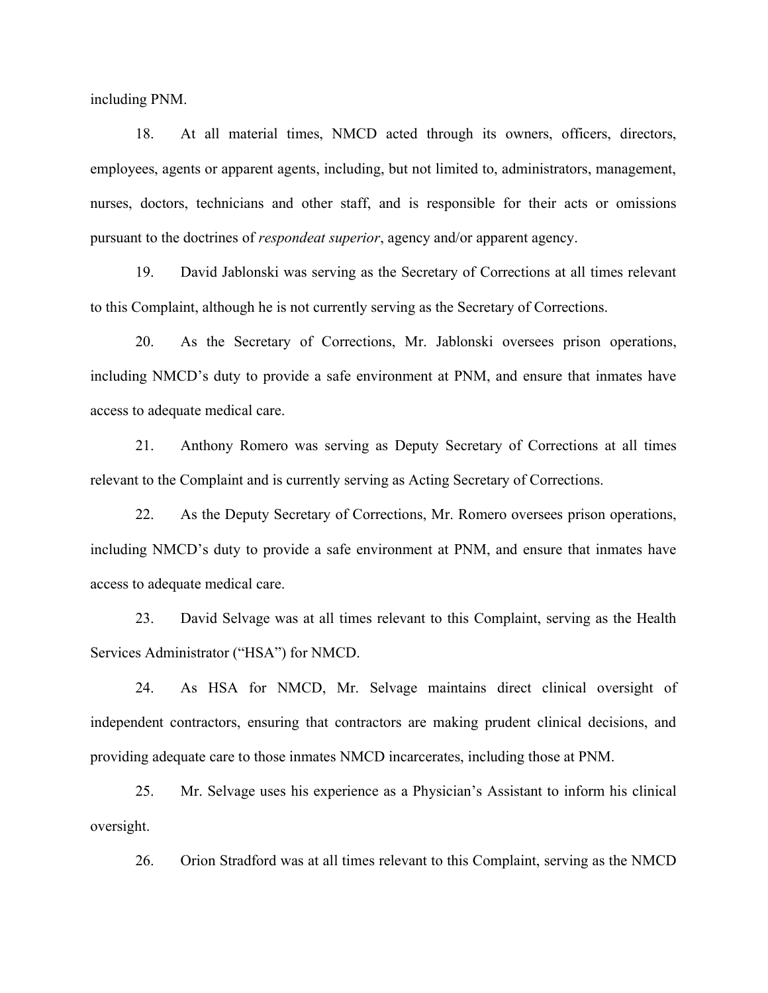including PNM.

18. At all material times, NMCD acted through its owners, officers, directors, employees, agents or apparent agents, including, but not limited to, administrators, management, nurses, doctors, technicians and other staff, and is responsible for their acts or omissions pursuant to the doctrines of respondeat superior, agency and/or apparent agency.

19. David Jablonski was serving as the Secretary of Corrections at all times relevant to this Complaint, although he is not currently serving as the Secretary of Corrections.

20. As the Secretary of Corrections, Mr. Jablonski oversees prison operations, including NMCD's duty to provide a safe environment at PNM, and ensure that inmates have access to adequate medical care.

21. Anthony Romero was serving as Deputy Secretary of Corrections at all times relevant to the Complaint and is currently serving as Acting Secretary of Corrections.

22. As the Deputy Secretary of Corrections, Mr. Romero oversees prison operations, including NMCD's duty to provide a safe environment at PNM, and ensure that inmates have access to adequate medical care.

23. David Selvage was at all times relevant to this Complaint, serving as the Health Services Administrator ("HSA") for NMCD.

24. As HSA for NMCD, Mr. Selvage maintains direct clinical oversight of independent contractors, ensuring that contractors are making prudent clinical decisions, and providing adequate care to those inmates NMCD incarcerates, including those at PNM.

25. Mr. Selvage uses his experience as a Physician's Assistant to inform his clinical oversight.

26. Orion Stradford was at all times relevant to this Complaint, serving as the NMCD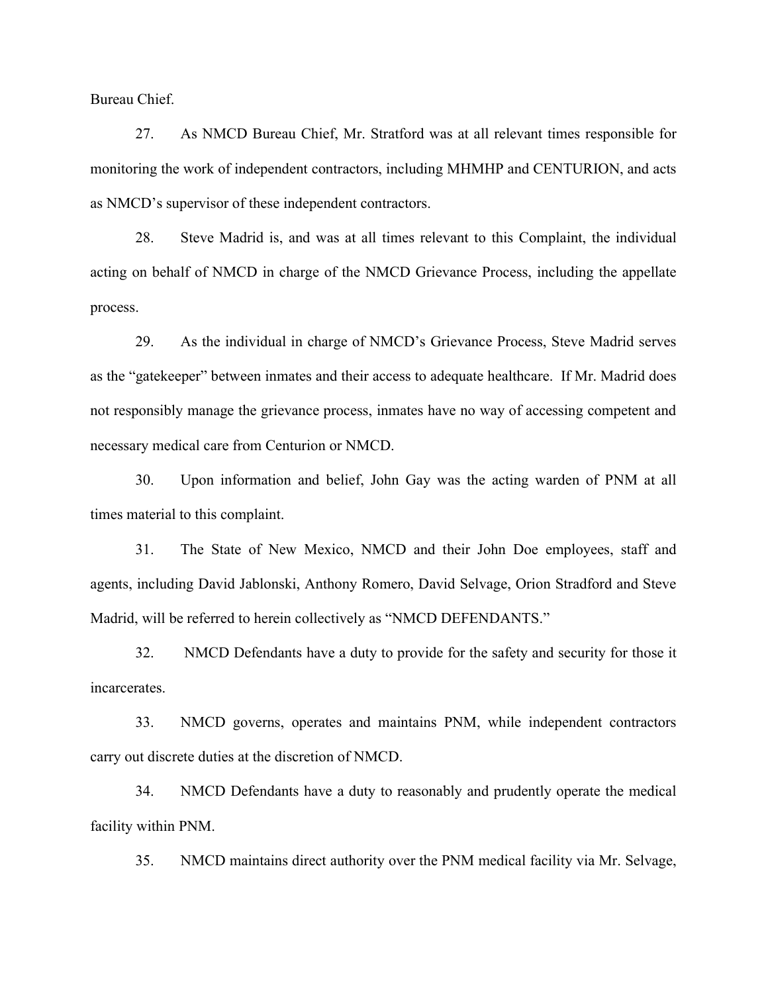Bureau Chief.

27. As NMCD Bureau Chief, Mr. Stratford was at all relevant times responsible for monitoring the work of independent contractors, including MHMHP and CENTURION, and acts as NMCD's supervisor of these independent contractors.

28. Steve Madrid is, and was at all times relevant to this Complaint, the individual acting on behalf of NMCD in charge of the NMCD Grievance Process, including the appellate process.

29. As the individual in charge of NMCD's Grievance Process, Steve Madrid serves as the "gatekeeper" between inmates and their access to adequate healthcare. If Mr. Madrid does not responsibly manage the grievance process, inmates have no way of accessing competent and necessary medical care from Centurion or NMCD.

30. Upon information and belief, John Gay was the acting warden of PNM at all times material to this complaint.

31. The State of New Mexico, NMCD and their John Doe employees, staff and agents, including David Jablonski, Anthony Romero, David Selvage, Orion Stradford and Steve Madrid, will be referred to herein collectively as "NMCD DEFENDANTS."

32. NMCD Defendants have a duty to provide for the safety and security for those it incarcerates.

33. NMCD governs, operates and maintains PNM, while independent contractors carry out discrete duties at the discretion of NMCD.

34. NMCD Defendants have a duty to reasonably and prudently operate the medical facility within PNM.

35. NMCD maintains direct authority over the PNM medical facility via Mr. Selvage,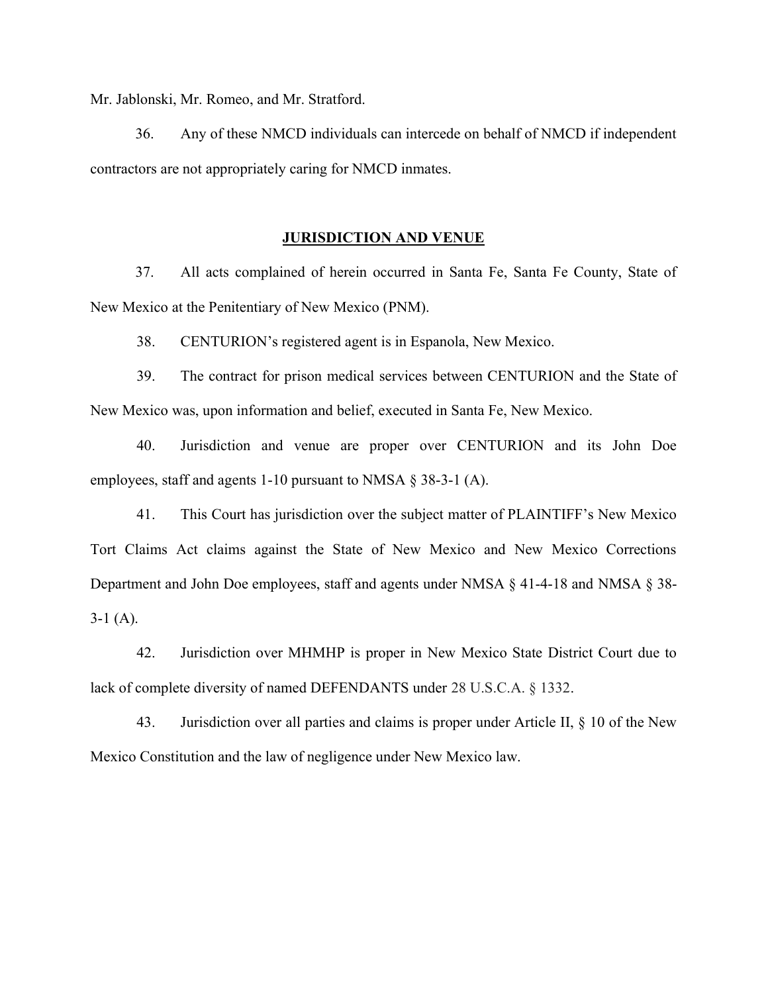Mr. Jablonski, Mr. Romeo, and Mr. Stratford.

36. Any of these NMCD individuals can intercede on behalf of NMCD if independent contractors are not appropriately caring for NMCD inmates.

#### JURISDICTION AND VENUE

37. All acts complained of herein occurred in Santa Fe, Santa Fe County, State of New Mexico at the Penitentiary of New Mexico (PNM).

38. CENTURION's registered agent is in Espanola, New Mexico.

39. The contract for prison medical services between CENTURION and the State of New Mexico was, upon information and belief, executed in Santa Fe, New Mexico.

40. Jurisdiction and venue are proper over CENTURION and its John Doe employees, staff and agents 1-10 pursuant to NMSA § 38-3-1 (A).

41. This Court has jurisdiction over the subject matter of PLAINTIFF's New Mexico Tort Claims Act claims against the State of New Mexico and New Mexico Corrections Department and John Doe employees, staff and agents under NMSA § 41-4-18 and NMSA § 38-  $3-1(A)$ .

42. Jurisdiction over MHMHP is proper in New Mexico State District Court due to lack of complete diversity of named DEFENDANTS under 28 U.S.C.A. § 1332.

43. Jurisdiction over all parties and claims is proper under Article II, § 10 of the New Mexico Constitution and the law of negligence under New Mexico law.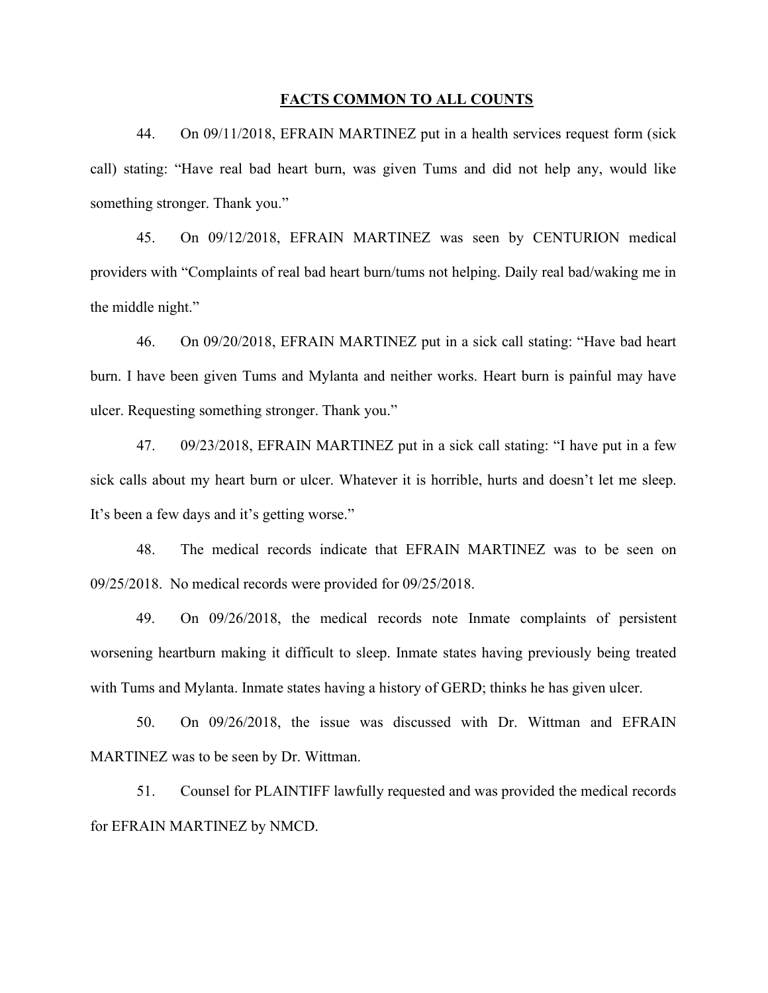### FACTS COMMON TO ALL COUNTS

44. On 09/11/2018, EFRAIN MARTINEZ put in a health services request form (sick call) stating: "Have real bad heart burn, was given Tums and did not help any, would like something stronger. Thank you."

45. On 09/12/2018, EFRAIN MARTINEZ was seen by CENTURION medical providers with "Complaints of real bad heart burn/tums not helping. Daily real bad/waking me in the middle night."

46. On 09/20/2018, EFRAIN MARTINEZ put in a sick call stating: "Have bad heart burn. I have been given Tums and Mylanta and neither works. Heart burn is painful may have ulcer. Requesting something stronger. Thank you."

47. 09/23/2018, EFRAIN MARTINEZ put in a sick call stating: "I have put in a few sick calls about my heart burn or ulcer. Whatever it is horrible, hurts and doesn't let me sleep. It's been a few days and it's getting worse."

48. The medical records indicate that EFRAIN MARTINEZ was to be seen on 09/25/2018. No medical records were provided for 09/25/2018.

49. On 09/26/2018, the medical records note Inmate complaints of persistent worsening heartburn making it difficult to sleep. Inmate states having previously being treated with Tums and Mylanta. Inmate states having a history of GERD; thinks he has given ulcer.

50. On 09/26/2018, the issue was discussed with Dr. Wittman and EFRAIN MARTINEZ was to be seen by Dr. Wittman.

51. Counsel for PLAINTIFF lawfully requested and was provided the medical records for EFRAIN MARTINEZ by NMCD.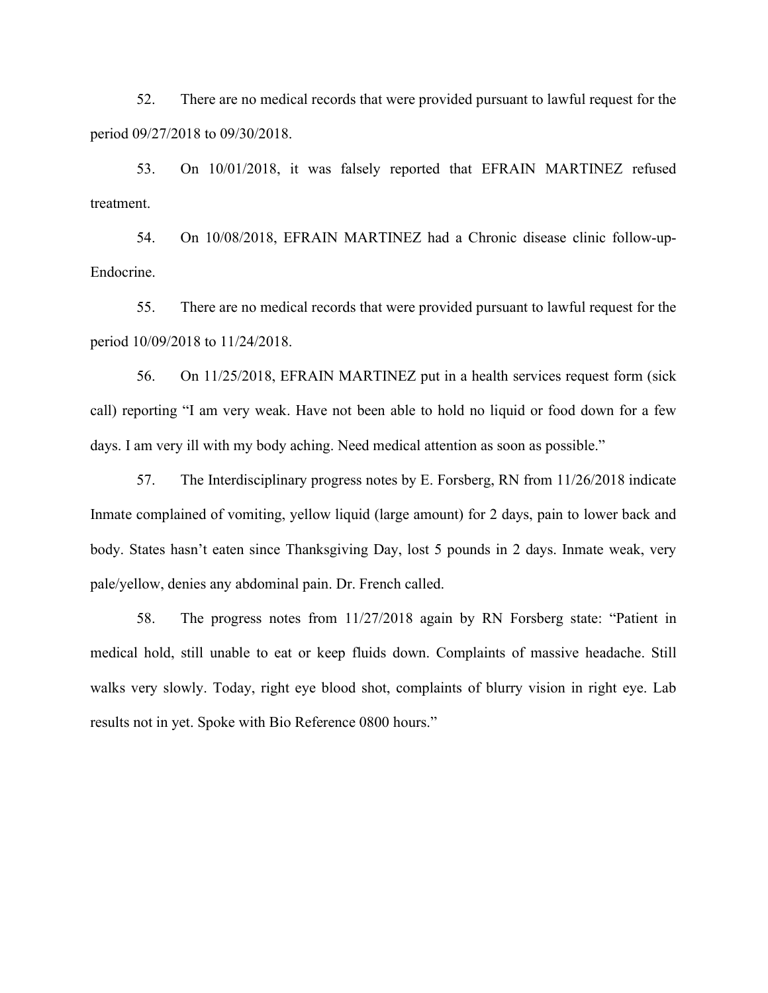52. There are no medical records that were provided pursuant to lawful request for the period 09/27/2018 to 09/30/2018.

53. On 10/01/2018, it was falsely reported that EFRAIN MARTINEZ refused treatment.

54. On 10/08/2018, EFRAIN MARTINEZ had a Chronic disease clinic follow-up-Endocrine.

55. There are no medical records that were provided pursuant to lawful request for the period 10/09/2018 to 11/24/2018.

56. On 11/25/2018, EFRAIN MARTINEZ put in a health services request form (sick call) reporting "I am very weak. Have not been able to hold no liquid or food down for a few days. I am very ill with my body aching. Need medical attention as soon as possible."

57. The Interdisciplinary progress notes by E. Forsberg, RN from 11/26/2018 indicate Inmate complained of vomiting, yellow liquid (large amount) for 2 days, pain to lower back and body. States hasn't eaten since Thanksgiving Day, lost 5 pounds in 2 days. Inmate weak, very pale/yellow, denies any abdominal pain. Dr. French called.

58. The progress notes from 11/27/2018 again by RN Forsberg state: "Patient in medical hold, still unable to eat or keep fluids down. Complaints of massive headache. Still walks very slowly. Today, right eye blood shot, complaints of blurry vision in right eye. Lab results not in yet. Spoke with Bio Reference 0800 hours."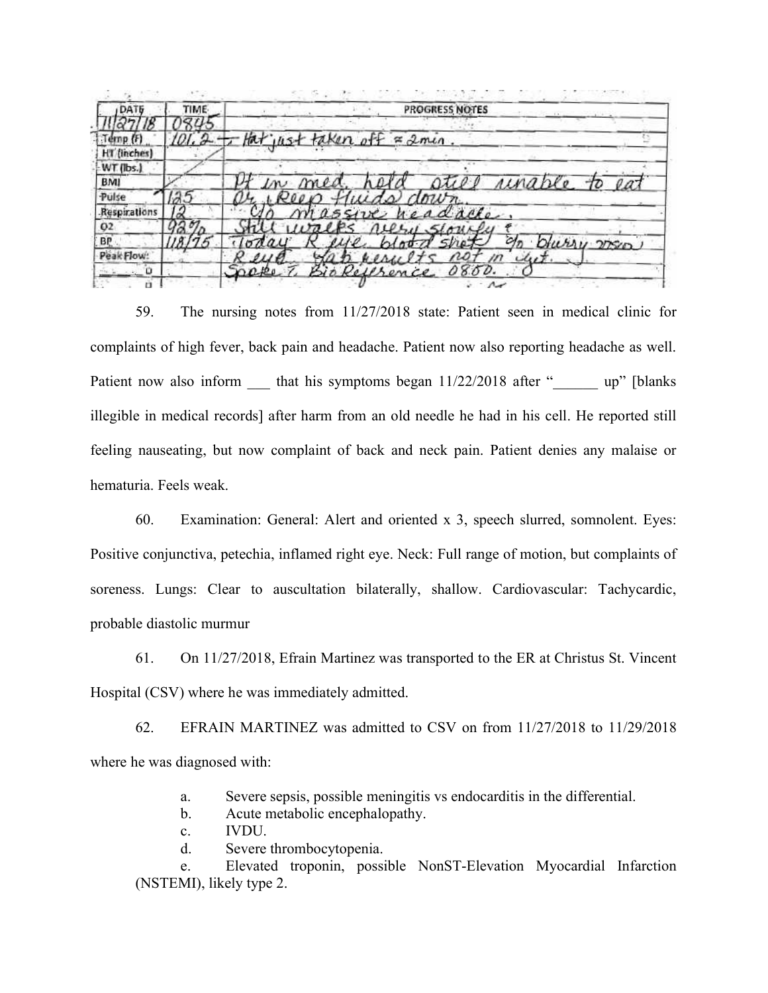|              | PROGRESS NOTES                          |
|--------------|-----------------------------------------|
|              |                                         |
| [emp]        | $01.2 - H$ thet just taken off = 2 min. |
| HT (inches)  |                                         |
| WT (lbs.)    |                                         |
| <b>BMI</b>   | <u>atiel rinable</u> to eat             |
| Pulse        | ds down<br>200 D                        |
| Respirations | eadache                                 |
| 02           | neery slowely<br>1177                   |
| BP           | Dhirry more                             |
| Peak Flow:   | m<br>$u_{\mathcal{U}}$<br>Mergel        |
| $\sim 0$     | Sappe<br>Bio Reference 0800.            |

59. The nursing notes from 11/27/2018 state: Patient seen in medical clinic for complaints of high fever, back pain and headache. Patient now also reporting headache as well. Patient now also inform that his symptoms began  $11/22/2018$  after " up" [blanks illegible in medical records] after harm from an old needle he had in his cell. He reported still feeling nauseating, but now complaint of back and neck pain. Patient denies any malaise or hematuria. Feels weak.

60. Examination: General: Alert and oriented x 3, speech slurred, somnolent. Eyes: Positive conjunctiva, petechia, inflamed right eye. Neck: Full range of motion, but complaints of soreness. Lungs: Clear to auscultation bilaterally, shallow. Cardiovascular: Tachycardic, probable diastolic murmur

61. On 11/27/2018, Efrain Martinez was transported to the ER at Christus St. Vincent Hospital (CSV) where he was immediately admitted.

62. EFRAIN MARTINEZ was admitted to CSV on from 11/27/2018 to 11/29/2018 where he was diagnosed with:

- a. Severe sepsis, possible meningitis vs endocarditis in the differential.
- b. Acute metabolic encephalopathy.
- c. IVDU.
- d. Severe thrombocytopenia.

e. Elevated troponin, possible NonST-Elevation Myocardial Infarction (NSTEMI), likely type 2.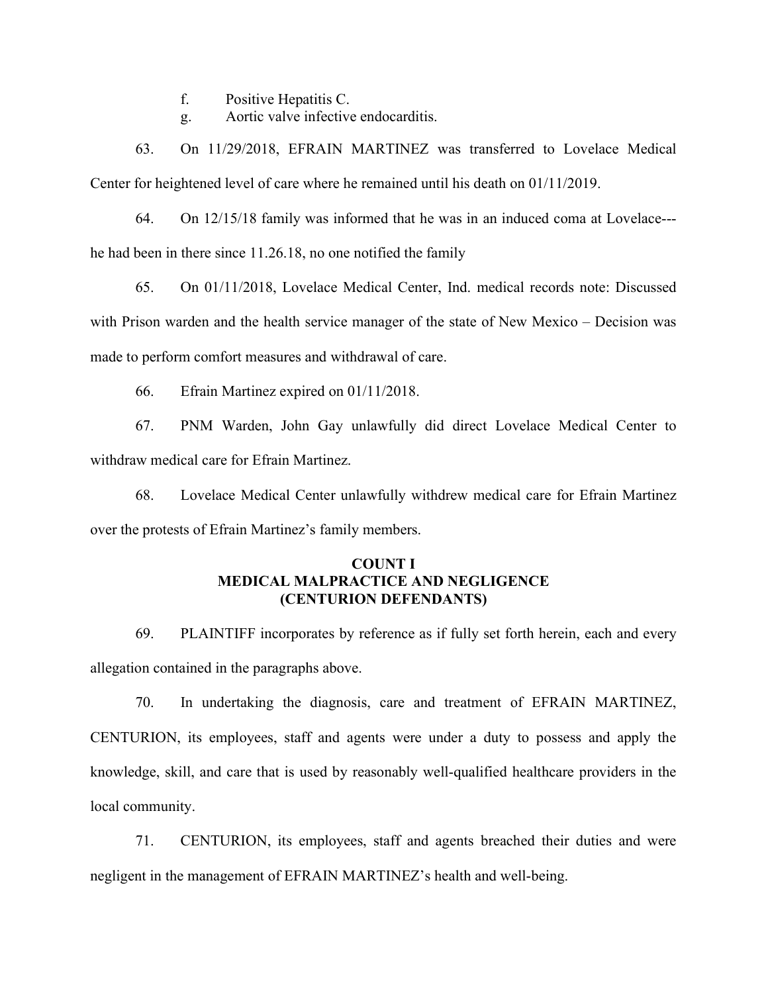f. Positive Hepatitis C.

g. Aortic valve infective endocarditis.

63. On 11/29/2018, EFRAIN MARTINEZ was transferred to Lovelace Medical Center for heightened level of care where he remained until his death on 01/11/2019.

64. On 12/15/18 family was informed that he was in an induced coma at Lovelace-- he had been in there since 11.26.18, no one notified the family

65. On 01/11/2018, Lovelace Medical Center, Ind. medical records note: Discussed with Prison warden and the health service manager of the state of New Mexico – Decision was made to perform comfort measures and withdrawal of care.

66. Efrain Martinez expired on 01/11/2018.

67. PNM Warden, John Gay unlawfully did direct Lovelace Medical Center to withdraw medical care for Efrain Martinez.

68. Lovelace Medical Center unlawfully withdrew medical care for Efrain Martinez over the protests of Efrain Martinez's family members.

# COUNT I MEDICAL MALPRACTICE AND NEGLIGENCE (CENTURION DEFENDANTS)

69. PLAINTIFF incorporates by reference as if fully set forth herein, each and every allegation contained in the paragraphs above.

70. In undertaking the diagnosis, care and treatment of EFRAIN MARTINEZ, CENTURION, its employees, staff and agents were under a duty to possess and apply the knowledge, skill, and care that is used by reasonably well-qualified healthcare providers in the local community.

71. CENTURION, its employees, staff and agents breached their duties and were negligent in the management of EFRAIN MARTINEZ's health and well-being.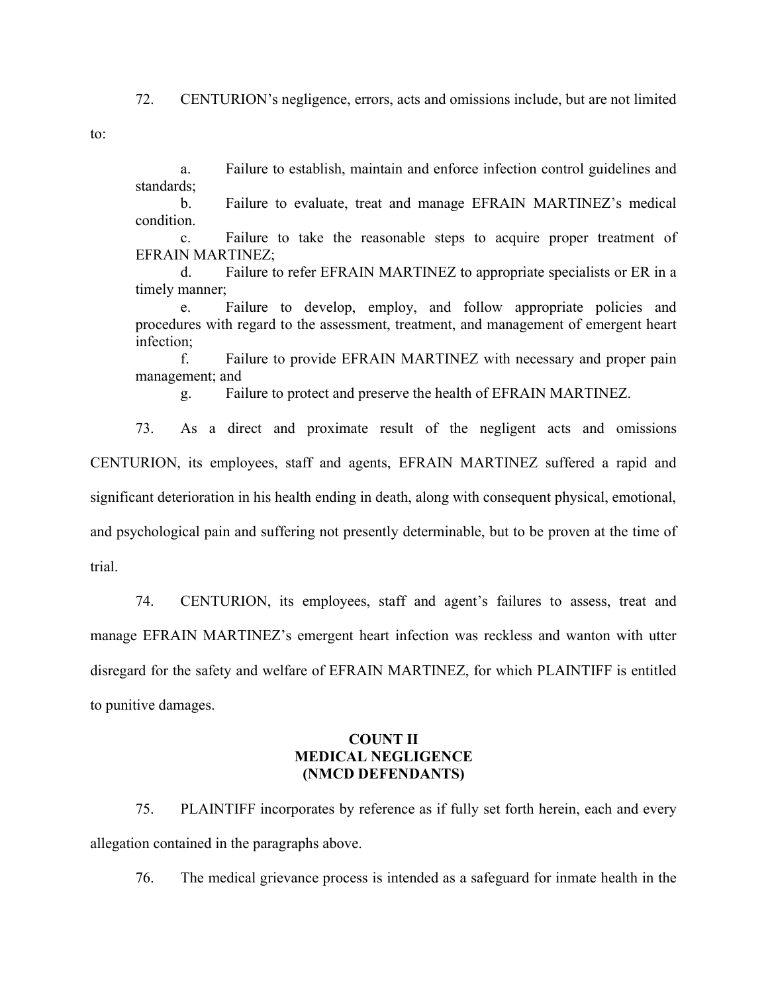72. CENTURION's negligence, errors, acts and omissions include, but are not limited

to:

a. Failure to establish, maintain and enforce infection control guidelines and standards;

b. Failure to evaluate, treat and manage EFRAIN MARTINEZ's medical condition.

c. Failure to take the reasonable steps to acquire proper treatment of EFRAIN MARTINEZ;

d. Failure to refer EFRAIN MARTINEZ to appropriate specialists or ER in a timely manner;

e. Failure to develop, employ, and follow appropriate policies and procedures with regard to the assessment, treatment, and management of emergent heart infection;

f. Failure to provide EFRAIN MARTINEZ with necessary and proper pain management; and

g. Failure to protect and preserve the health of EFRAIN MARTINEZ.

73. As a direct and proximate result of the negligent acts and omissions CENTURION, its employees, staff and agents, EFRAIN MARTINEZ suffered a rapid and significant deterioration in his health ending in death, along with consequent physical, emotional, and psychological pain and suffering not presently determinable, but to be proven at the time of trial.

74. CENTURION, its employees, staff and agent's failures to assess, treat and manage EFRAIN MARTINEZ's emergent heart infection was reckless and wanton with utter disregard for the safety and welfare of EFRAIN MARTINEZ, for which PLAINTIFF is entitled to punitive damages.

# COUNT II MEDICAL NEGLIGENCE (NMCD DEFENDANTS)

75. PLAINTIFF incorporates by reference as if fully set forth herein, each and every allegation contained in the paragraphs above.

76. The medical grievance process is intended as a safeguard for inmate health in the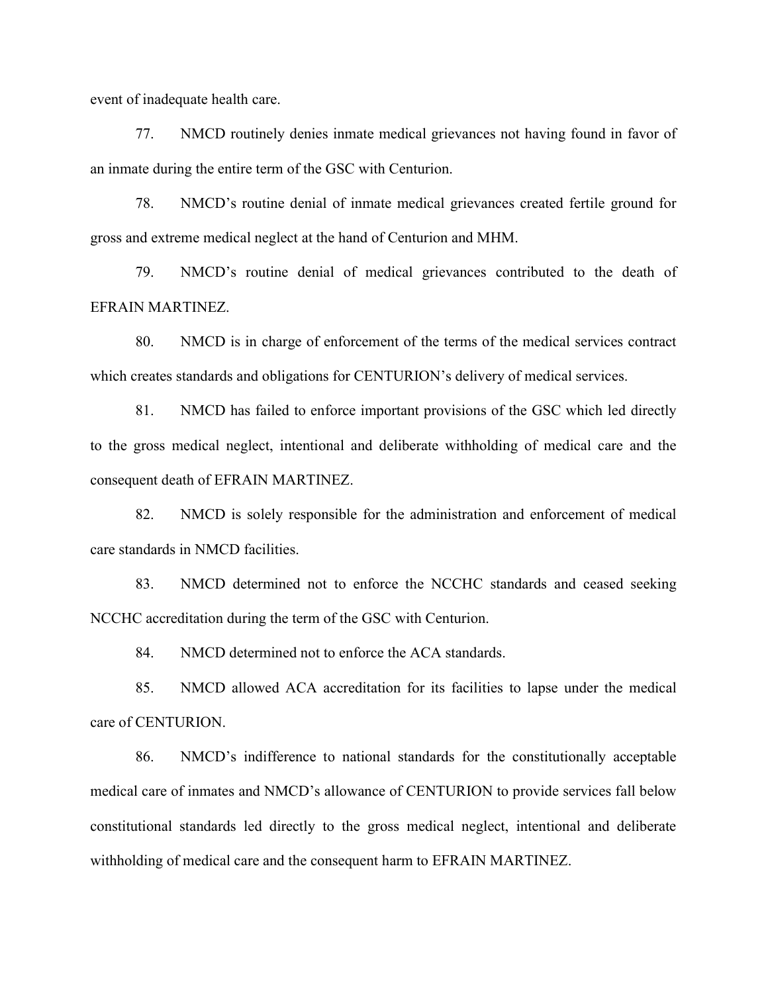event of inadequate health care.

77. NMCD routinely denies inmate medical grievances not having found in favor of an inmate during the entire term of the GSC with Centurion.

78. NMCD's routine denial of inmate medical grievances created fertile ground for gross and extreme medical neglect at the hand of Centurion and MHM.

79. NMCD's routine denial of medical grievances contributed to the death of EFRAIN MARTINEZ.

80. NMCD is in charge of enforcement of the terms of the medical services contract which creates standards and obligations for CENTURION's delivery of medical services.

81. NMCD has failed to enforce important provisions of the GSC which led directly to the gross medical neglect, intentional and deliberate withholding of medical care and the consequent death of EFRAIN MARTINEZ.

82. NMCD is solely responsible for the administration and enforcement of medical care standards in NMCD facilities.

83. NMCD determined not to enforce the NCCHC standards and ceased seeking NCCHC accreditation during the term of the GSC with Centurion.

84. NMCD determined not to enforce the ACA standards.

85. NMCD allowed ACA accreditation for its facilities to lapse under the medical care of CENTURION.

86. NMCD's indifference to national standards for the constitutionally acceptable medical care of inmates and NMCD's allowance of CENTURION to provide services fall below constitutional standards led directly to the gross medical neglect, intentional and deliberate withholding of medical care and the consequent harm to EFRAIN MARTINEZ.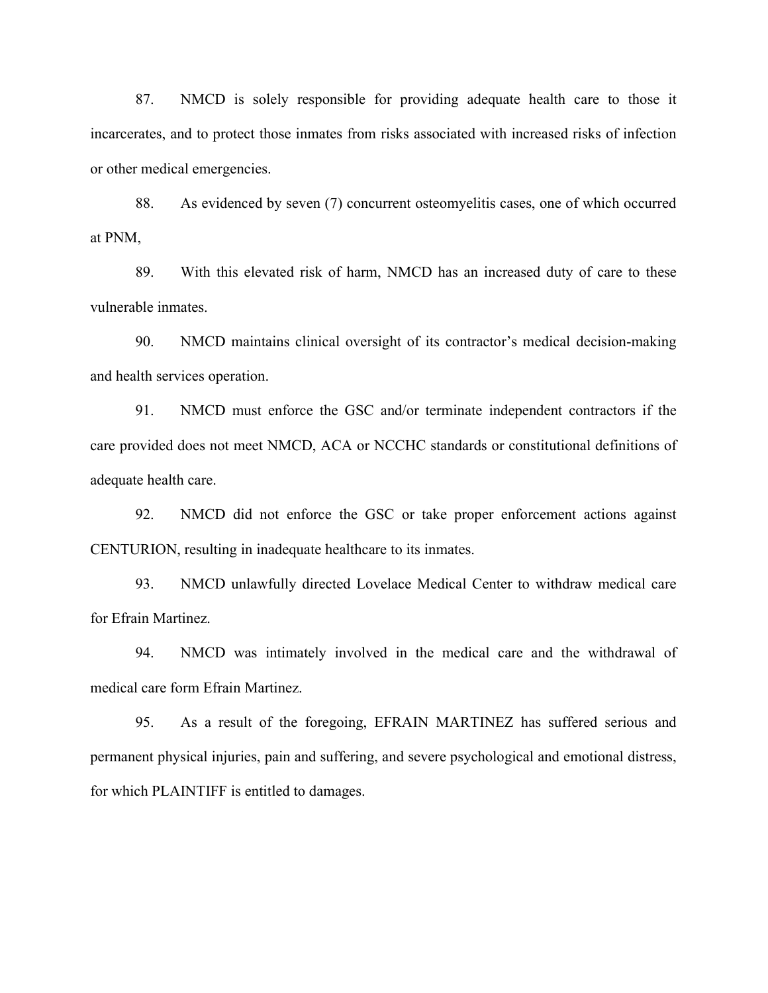87. NMCD is solely responsible for providing adequate health care to those it incarcerates, and to protect those inmates from risks associated with increased risks of infection or other medical emergencies.

88. As evidenced by seven (7) concurrent osteomyelitis cases, one of which occurred at PNM,

89. With this elevated risk of harm, NMCD has an increased duty of care to these vulnerable inmates.

90. NMCD maintains clinical oversight of its contractor's medical decision-making and health services operation.

91. NMCD must enforce the GSC and/or terminate independent contractors if the care provided does not meet NMCD, ACA or NCCHC standards or constitutional definitions of adequate health care.

92. NMCD did not enforce the GSC or take proper enforcement actions against CENTURION, resulting in inadequate healthcare to its inmates.

93. NMCD unlawfully directed Lovelace Medical Center to withdraw medical care for Efrain Martinez.

94. NMCD was intimately involved in the medical care and the withdrawal of medical care form Efrain Martinez.

95. As a result of the foregoing, EFRAIN MARTINEZ has suffered serious and permanent physical injuries, pain and suffering, and severe psychological and emotional distress, for which PLAINTIFF is entitled to damages.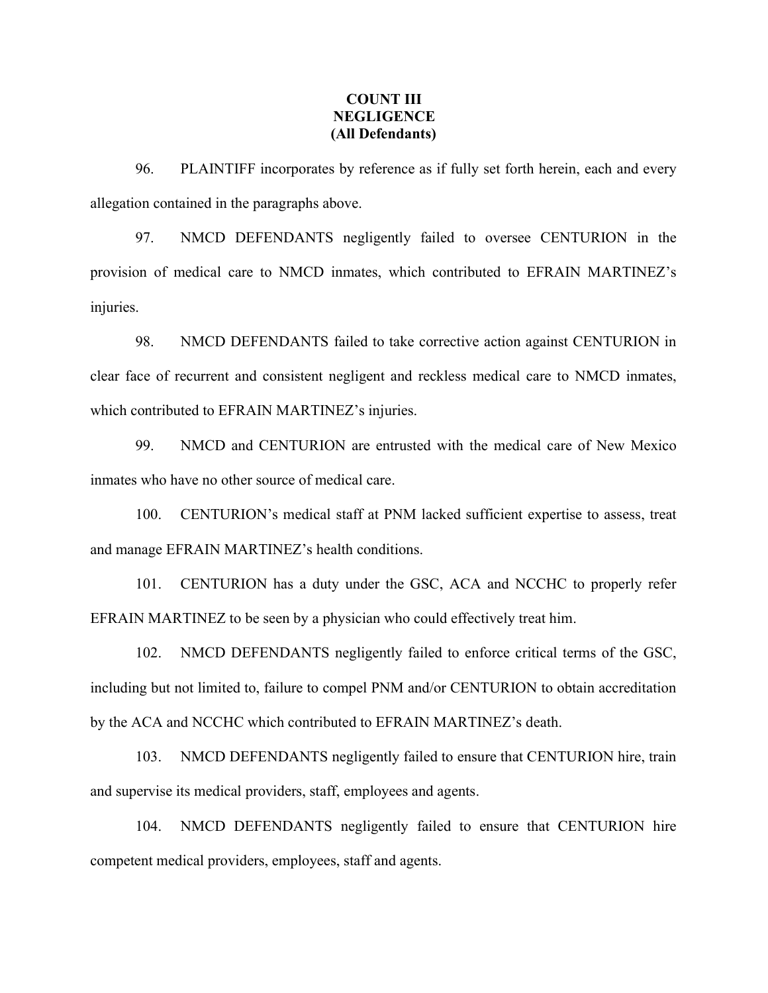### COUNT III **NEGLIGENCE** (All Defendants)

96. PLAINTIFF incorporates by reference as if fully set forth herein, each and every allegation contained in the paragraphs above.

97. NMCD DEFENDANTS negligently failed to oversee CENTURION in the provision of medical care to NMCD inmates, which contributed to EFRAIN MARTINEZ's injuries.

98. NMCD DEFENDANTS failed to take corrective action against CENTURION in clear face of recurrent and consistent negligent and reckless medical care to NMCD inmates, which contributed to EFRAIN MARTINEZ's injuries.

99. NMCD and CENTURION are entrusted with the medical care of New Mexico inmates who have no other source of medical care.

100. CENTURION's medical staff at PNM lacked sufficient expertise to assess, treat and manage EFRAIN MARTINEZ's health conditions.

101. CENTURION has a duty under the GSC, ACA and NCCHC to properly refer EFRAIN MARTINEZ to be seen by a physician who could effectively treat him.

102. NMCD DEFENDANTS negligently failed to enforce critical terms of the GSC, including but not limited to, failure to compel PNM and/or CENTURION to obtain accreditation by the ACA and NCCHC which contributed to EFRAIN MARTINEZ's death.

103. NMCD DEFENDANTS negligently failed to ensure that CENTURION hire, train and supervise its medical providers, staff, employees and agents.

104. NMCD DEFENDANTS negligently failed to ensure that CENTURION hire competent medical providers, employees, staff and agents.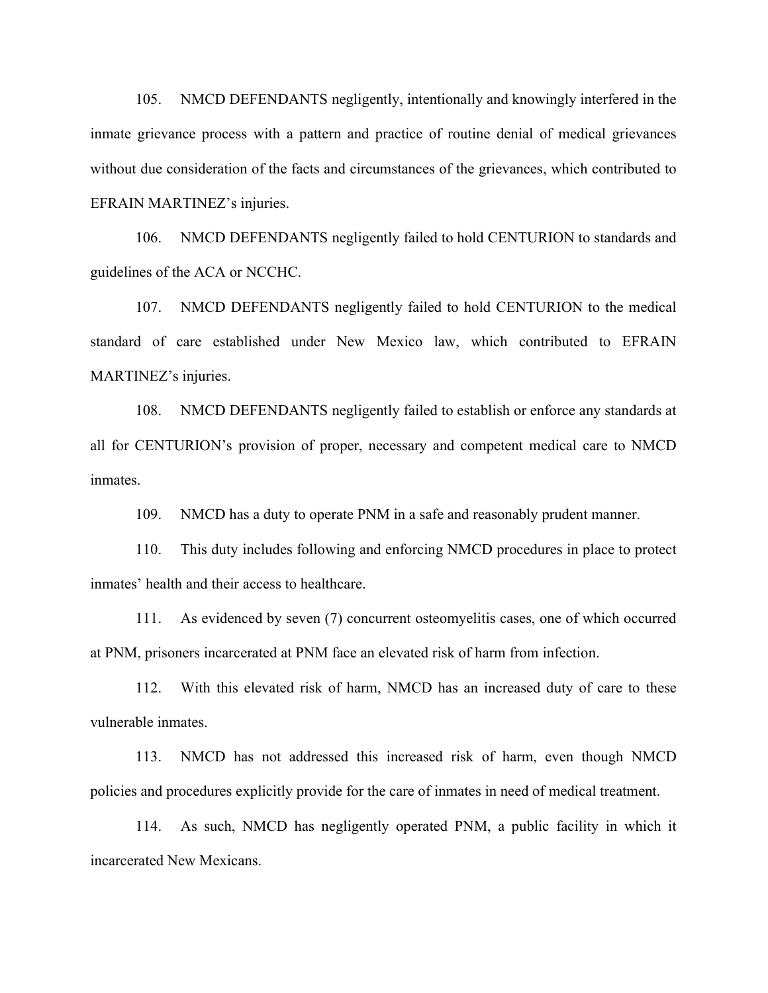105. NMCD DEFENDANTS negligently, intentionally and knowingly interfered in the inmate grievance process with a pattern and practice of routine denial of medical grievances without due consideration of the facts and circumstances of the grievances, which contributed to EFRAIN MARTINEZ's injuries.

106. NMCD DEFENDANTS negligently failed to hold CENTURION to standards and guidelines of the ACA or NCCHC.

107. NMCD DEFENDANTS negligently failed to hold CENTURION to the medical standard of care established under New Mexico law, which contributed to EFRAIN MARTINEZ's injuries.

108. NMCD DEFENDANTS negligently failed to establish or enforce any standards at all for CENTURION's provision of proper, necessary and competent medical care to NMCD inmates.

109. NMCD has a duty to operate PNM in a safe and reasonably prudent manner.

110. This duty includes following and enforcing NMCD procedures in place to protect inmates' health and their access to healthcare.

111. As evidenced by seven (7) concurrent osteomyelitis cases, one of which occurred at PNM, prisoners incarcerated at PNM face an elevated risk of harm from infection.

112. With this elevated risk of harm, NMCD has an increased duty of care to these vulnerable inmates.

113. NMCD has not addressed this increased risk of harm, even though NMCD policies and procedures explicitly provide for the care of inmates in need of medical treatment.

114. As such, NMCD has negligently operated PNM, a public facility in which it incarcerated New Mexicans.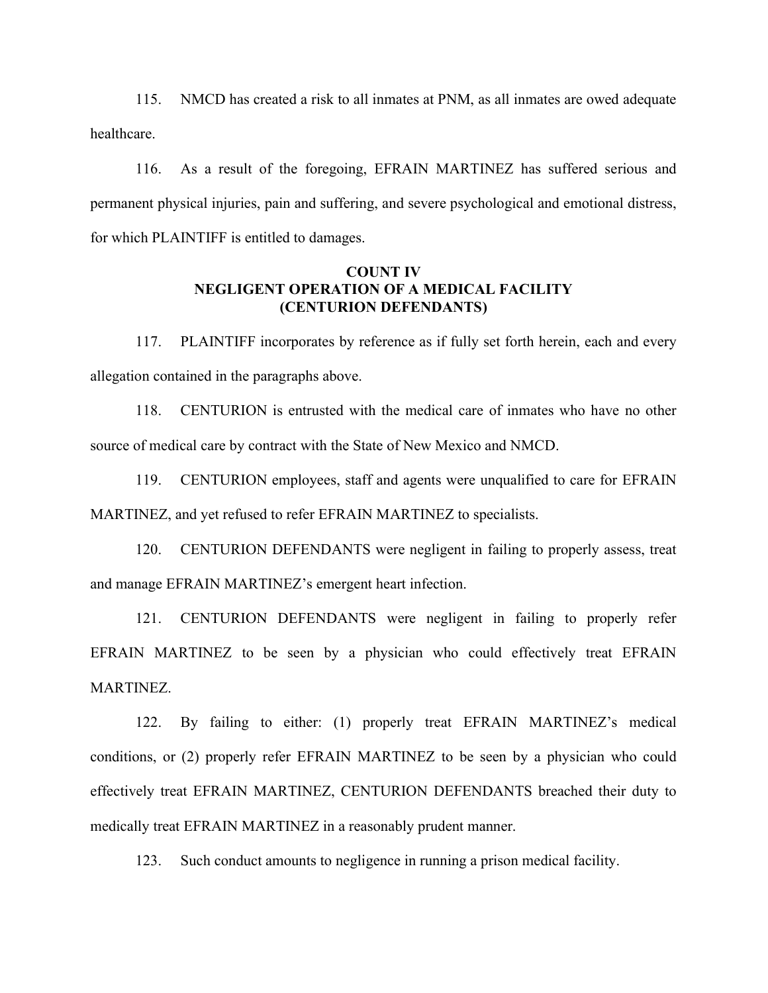115. NMCD has created a risk to all inmates at PNM, as all inmates are owed adequate healthcare.

116. As a result of the foregoing, EFRAIN MARTINEZ has suffered serious and permanent physical injuries, pain and suffering, and severe psychological and emotional distress, for which PLAINTIFF is entitled to damages.

# COUNT IV NEGLIGENT OPERATION OF A MEDICAL FACILITY (CENTURION DEFENDANTS)

117. PLAINTIFF incorporates by reference as if fully set forth herein, each and every allegation contained in the paragraphs above.

118. CENTURION is entrusted with the medical care of inmates who have no other source of medical care by contract with the State of New Mexico and NMCD.

119. CENTURION employees, staff and agents were unqualified to care for EFRAIN MARTINEZ, and yet refused to refer EFRAIN MARTINEZ to specialists.

120. CENTURION DEFENDANTS were negligent in failing to properly assess, treat and manage EFRAIN MARTINEZ's emergent heart infection.

121. CENTURION DEFENDANTS were negligent in failing to properly refer EFRAIN MARTINEZ to be seen by a physician who could effectively treat EFRAIN MARTINEZ.

122. By failing to either: (1) properly treat EFRAIN MARTINEZ's medical conditions, or (2) properly refer EFRAIN MARTINEZ to be seen by a physician who could effectively treat EFRAIN MARTINEZ, CENTURION DEFENDANTS breached their duty to medically treat EFRAIN MARTINEZ in a reasonably prudent manner.

123. Such conduct amounts to negligence in running a prison medical facility.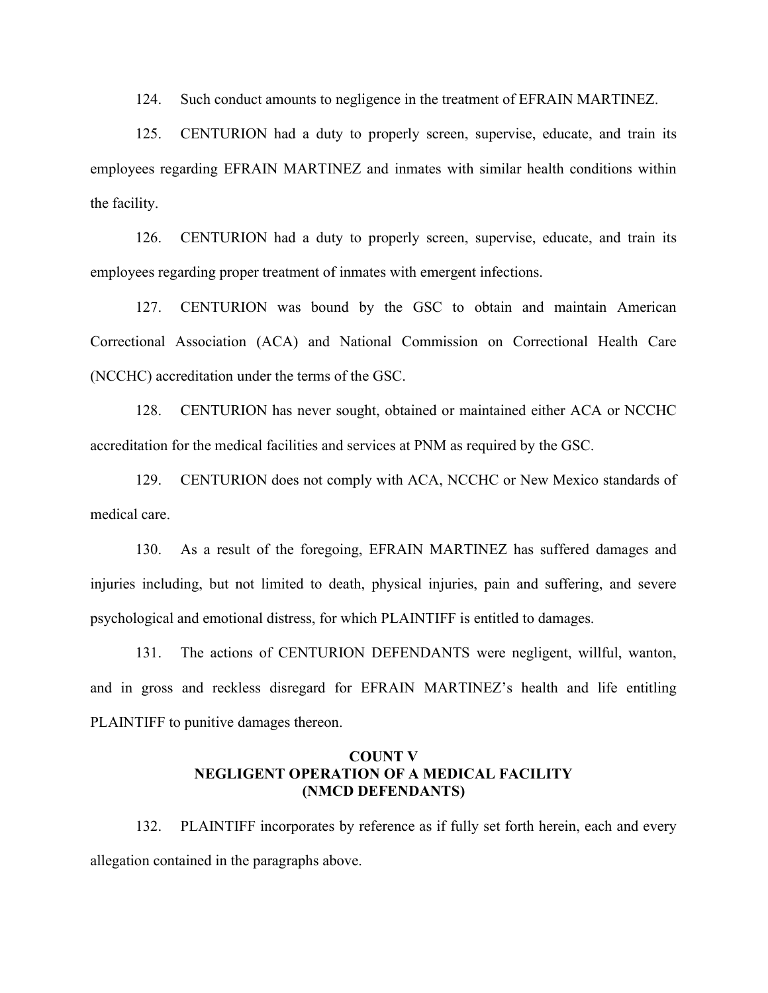124. Such conduct amounts to negligence in the treatment of EFRAIN MARTINEZ.

125. CENTURION had a duty to properly screen, supervise, educate, and train its employees regarding EFRAIN MARTINEZ and inmates with similar health conditions within the facility.

126. CENTURION had a duty to properly screen, supervise, educate, and train its employees regarding proper treatment of inmates with emergent infections.

127. CENTURION was bound by the GSC to obtain and maintain American Correctional Association (ACA) and National Commission on Correctional Health Care (NCCHC) accreditation under the terms of the GSC.

128. CENTURION has never sought, obtained or maintained either ACA or NCCHC accreditation for the medical facilities and services at PNM as required by the GSC.

129. CENTURION does not comply with ACA, NCCHC or New Mexico standards of medical care.

130. As a result of the foregoing, EFRAIN MARTINEZ has suffered damages and injuries including, but not limited to death, physical injuries, pain and suffering, and severe psychological and emotional distress, for which PLAINTIFF is entitled to damages.

131. The actions of CENTURION DEFENDANTS were negligent, willful, wanton, and in gross and reckless disregard for EFRAIN MARTINEZ's health and life entitling PLAINTIFF to punitive damages thereon.

### COUNT V NEGLIGENT OPERATION OF A MEDICAL FACILITY (NMCD DEFENDANTS)

132. PLAINTIFF incorporates by reference as if fully set forth herein, each and every allegation contained in the paragraphs above.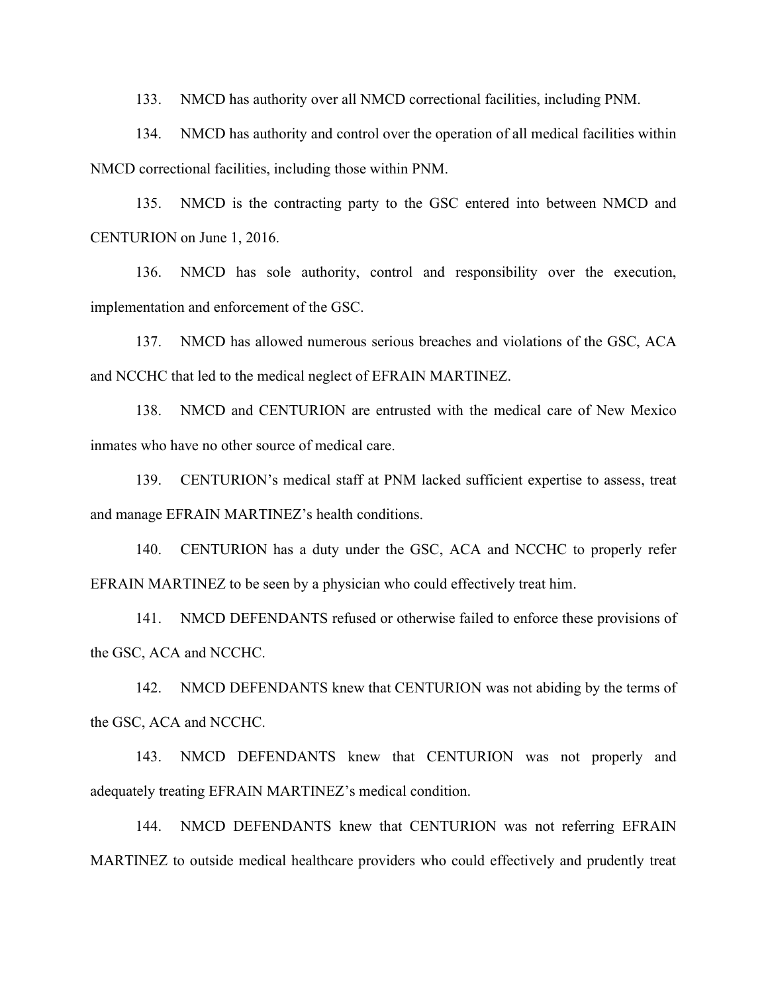133. NMCD has authority over all NMCD correctional facilities, including PNM.

134. NMCD has authority and control over the operation of all medical facilities within NMCD correctional facilities, including those within PNM.

135. NMCD is the contracting party to the GSC entered into between NMCD and CENTURION on June 1, 2016.

136. NMCD has sole authority, control and responsibility over the execution, implementation and enforcement of the GSC.

137. NMCD has allowed numerous serious breaches and violations of the GSC, ACA and NCCHC that led to the medical neglect of EFRAIN MARTINEZ.

138. NMCD and CENTURION are entrusted with the medical care of New Mexico inmates who have no other source of medical care.

139. CENTURION's medical staff at PNM lacked sufficient expertise to assess, treat and manage EFRAIN MARTINEZ's health conditions.

140. CENTURION has a duty under the GSC, ACA and NCCHC to properly refer EFRAIN MARTINEZ to be seen by a physician who could effectively treat him.

141. NMCD DEFENDANTS refused or otherwise failed to enforce these provisions of the GSC, ACA and NCCHC.

142. NMCD DEFENDANTS knew that CENTURION was not abiding by the terms of the GSC, ACA and NCCHC.

143. NMCD DEFENDANTS knew that CENTURION was not properly and adequately treating EFRAIN MARTINEZ's medical condition.

144. NMCD DEFENDANTS knew that CENTURION was not referring EFRAIN MARTINEZ to outside medical healthcare providers who could effectively and prudently treat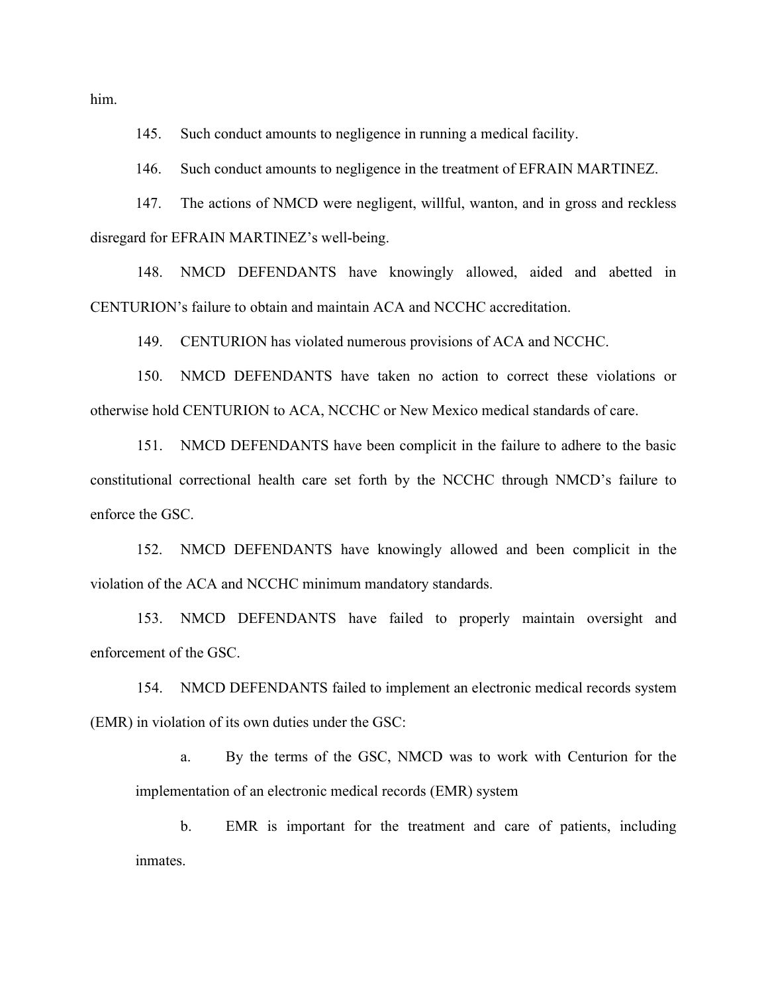him.

145. Such conduct amounts to negligence in running a medical facility.

146. Such conduct amounts to negligence in the treatment of EFRAIN MARTINEZ.

147. The actions of NMCD were negligent, willful, wanton, and in gross and reckless disregard for EFRAIN MARTINEZ's well-being.

148. NMCD DEFENDANTS have knowingly allowed, aided and abetted in CENTURION's failure to obtain and maintain ACA and NCCHC accreditation.

149. CENTURION has violated numerous provisions of ACA and NCCHC.

150. NMCD DEFENDANTS have taken no action to correct these violations or otherwise hold CENTURION to ACA, NCCHC or New Mexico medical standards of care.

151. NMCD DEFENDANTS have been complicit in the failure to adhere to the basic constitutional correctional health care set forth by the NCCHC through NMCD's failure to enforce the GSC.

152. NMCD DEFENDANTS have knowingly allowed and been complicit in the violation of the ACA and NCCHC minimum mandatory standards.

153. NMCD DEFENDANTS have failed to properly maintain oversight and enforcement of the GSC.

154. NMCD DEFENDANTS failed to implement an electronic medical records system (EMR) in violation of its own duties under the GSC:

a. By the terms of the GSC, NMCD was to work with Centurion for the implementation of an electronic medical records (EMR) system

b. EMR is important for the treatment and care of patients, including inmates.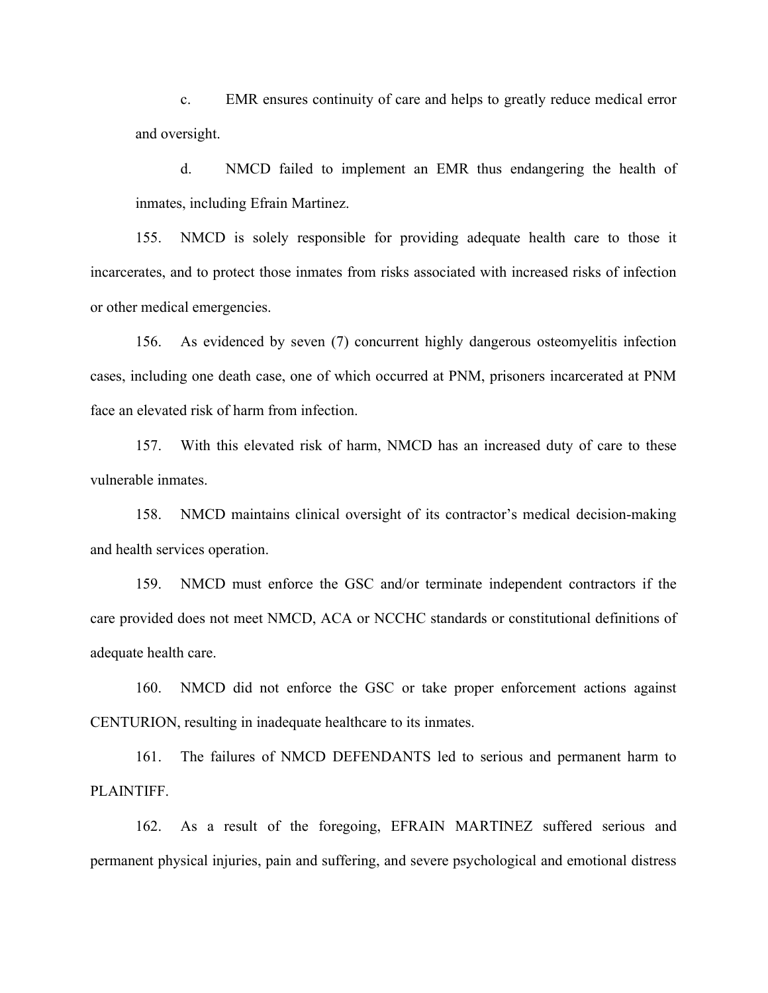c. EMR ensures continuity of care and helps to greatly reduce medical error and oversight.

d. NMCD failed to implement an EMR thus endangering the health of inmates, including Efrain Martinez.

155. NMCD is solely responsible for providing adequate health care to those it incarcerates, and to protect those inmates from risks associated with increased risks of infection or other medical emergencies.

156. As evidenced by seven (7) concurrent highly dangerous osteomyelitis infection cases, including one death case, one of which occurred at PNM, prisoners incarcerated at PNM face an elevated risk of harm from infection.

157. With this elevated risk of harm, NMCD has an increased duty of care to these vulnerable inmates.

158. NMCD maintains clinical oversight of its contractor's medical decision-making and health services operation.

159. NMCD must enforce the GSC and/or terminate independent contractors if the care provided does not meet NMCD, ACA or NCCHC standards or constitutional definitions of adequate health care.

160. NMCD did not enforce the GSC or take proper enforcement actions against CENTURION, resulting in inadequate healthcare to its inmates.

161. The failures of NMCD DEFENDANTS led to serious and permanent harm to PLAINTIFF.

162. As a result of the foregoing, EFRAIN MARTINEZ suffered serious and permanent physical injuries, pain and suffering, and severe psychological and emotional distress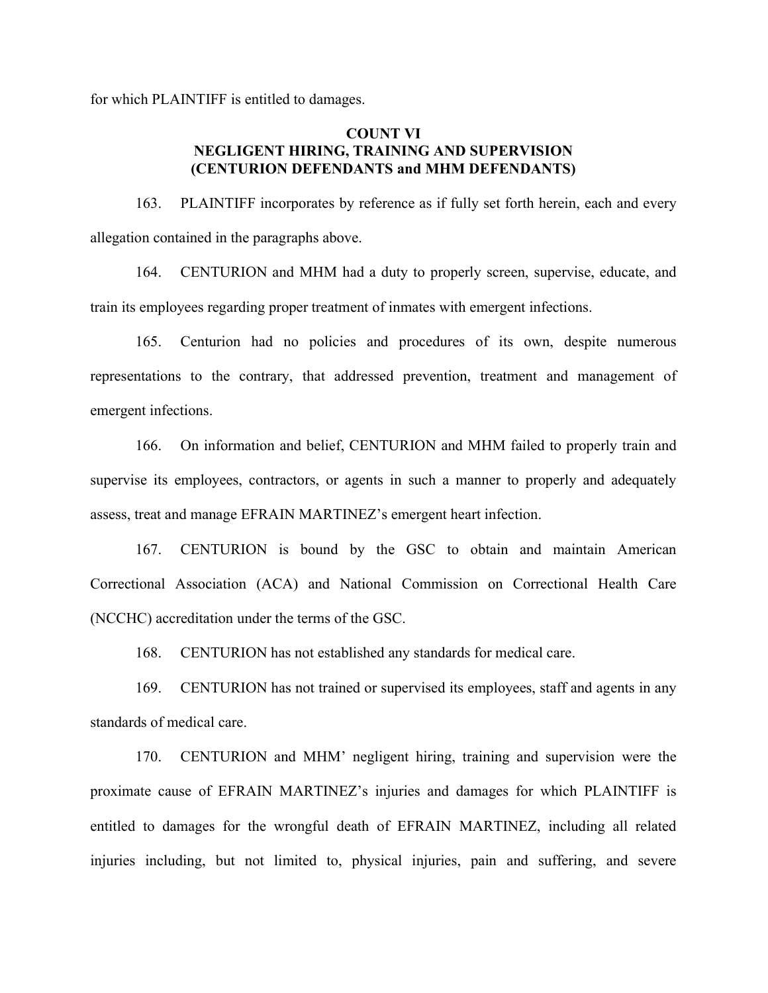for which PLAINTIFF is entitled to damages.

# COUNT VI NEGLIGENT HIRING, TRAINING AND SUPERVISION (CENTURION DEFENDANTS and MHM DEFENDANTS)

163. PLAINTIFF incorporates by reference as if fully set forth herein, each and every allegation contained in the paragraphs above.

164. CENTURION and MHM had a duty to properly screen, supervise, educate, and train its employees regarding proper treatment of inmates with emergent infections.

165. Centurion had no policies and procedures of its own, despite numerous representations to the contrary, that addressed prevention, treatment and management of emergent infections.

166. On information and belief, CENTURION and MHM failed to properly train and supervise its employees, contractors, or agents in such a manner to properly and adequately assess, treat and manage EFRAIN MARTINEZ's emergent heart infection.

167. CENTURION is bound by the GSC to obtain and maintain American Correctional Association (ACA) and National Commission on Correctional Health Care (NCCHC) accreditation under the terms of the GSC.

168. CENTURION has not established any standards for medical care.

169. CENTURION has not trained or supervised its employees, staff and agents in any standards of medical care.

170. CENTURION and MHM' negligent hiring, training and supervision were the proximate cause of EFRAIN MARTINEZ's injuries and damages for which PLAINTIFF is entitled to damages for the wrongful death of EFRAIN MARTINEZ, including all related injuries including, but not limited to, physical injuries, pain and suffering, and severe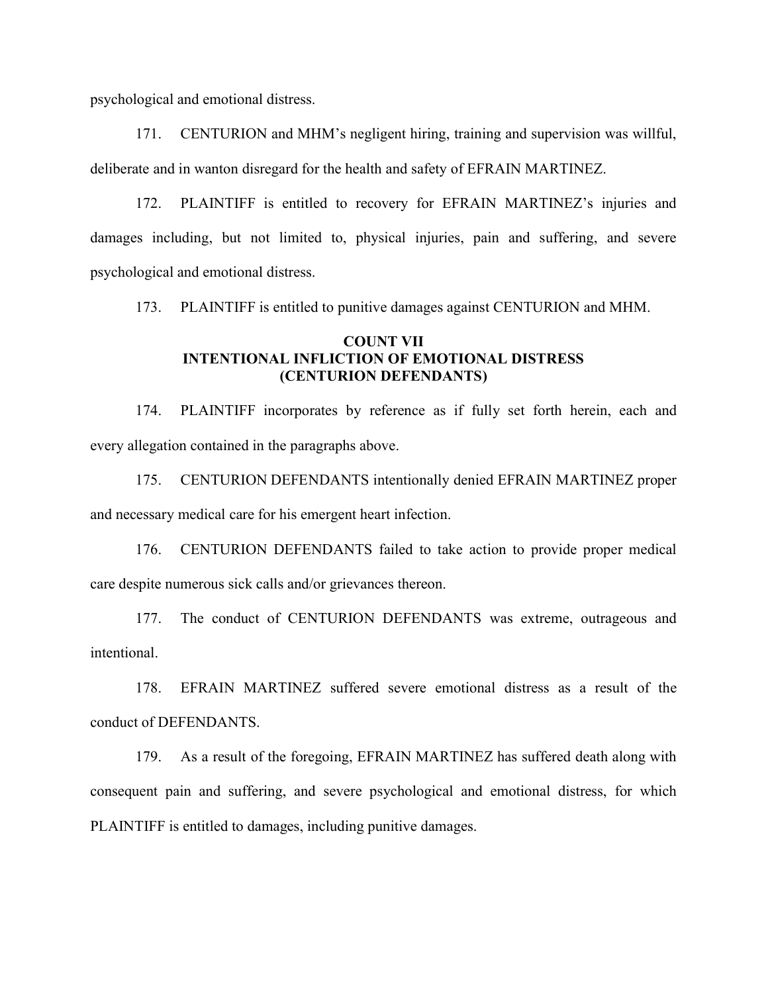psychological and emotional distress.

171. CENTURION and MHM's negligent hiring, training and supervision was willful, deliberate and in wanton disregard for the health and safety of EFRAIN MARTINEZ.

172. PLAINTIFF is entitled to recovery for EFRAIN MARTINEZ's injuries and damages including, but not limited to, physical injuries, pain and suffering, and severe psychological and emotional distress.

173. PLAINTIFF is entitled to punitive damages against CENTURION and MHM.

# COUNT VII INTENTIONAL INFLICTION OF EMOTIONAL DISTRESS (CENTURION DEFENDANTS)

174. PLAINTIFF incorporates by reference as if fully set forth herein, each and every allegation contained in the paragraphs above.

175. CENTURION DEFENDANTS intentionally denied EFRAIN MARTINEZ proper and necessary medical care for his emergent heart infection.

176. CENTURION DEFENDANTS failed to take action to provide proper medical care despite numerous sick calls and/or grievances thereon.

177. The conduct of CENTURION DEFENDANTS was extreme, outrageous and intentional.

178. EFRAIN MARTINEZ suffered severe emotional distress as a result of the conduct of DEFENDANTS.

179. As a result of the foregoing, EFRAIN MARTINEZ has suffered death along with consequent pain and suffering, and severe psychological and emotional distress, for which PLAINTIFF is entitled to damages, including punitive damages.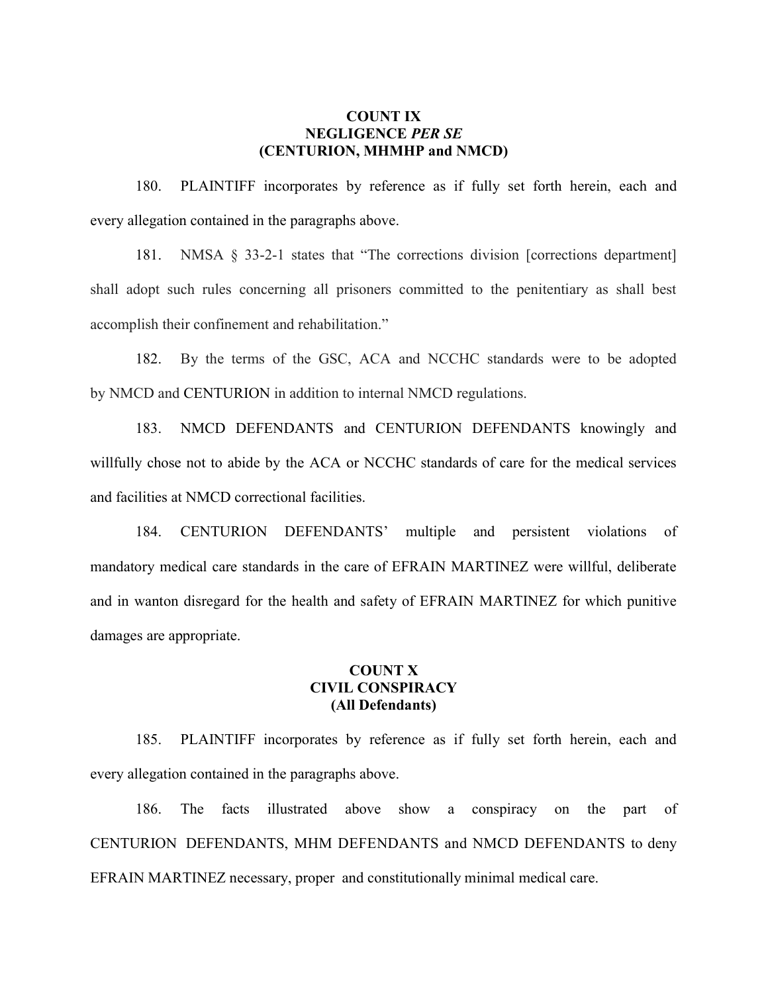## COUNT IX NEGLIGENCE PER SE (CENTURION, MHMHP and NMCD)

180. PLAINTIFF incorporates by reference as if fully set forth herein, each and every allegation contained in the paragraphs above.

181. NMSA § 33-2-1 states that "The corrections division [corrections department] shall adopt such rules concerning all prisoners committed to the penitentiary as shall best accomplish their confinement and rehabilitation."

182. By the terms of the GSC, ACA and NCCHC standards were to be adopted by NMCD and CENTURION in addition to internal NMCD regulations.

183. NMCD DEFENDANTS and CENTURION DEFENDANTS knowingly and willfully chose not to abide by the ACA or NCCHC standards of care for the medical services and facilities at NMCD correctional facilities.

184. CENTURION DEFENDANTS' multiple and persistent violations of mandatory medical care standards in the care of EFRAIN MARTINEZ were willful, deliberate and in wanton disregard for the health and safety of EFRAIN MARTINEZ for which punitive damages are appropriate.

# COUNT X CIVIL CONSPIRACY (All Defendants)

185. PLAINTIFF incorporates by reference as if fully set forth herein, each and every allegation contained in the paragraphs above.

186. The facts illustrated above show a conspiracy on the part of CENTURION DEFENDANTS, MHM DEFENDANTS and NMCD DEFENDANTS to deny EFRAIN MARTINEZ necessary, proper and constitutionally minimal medical care.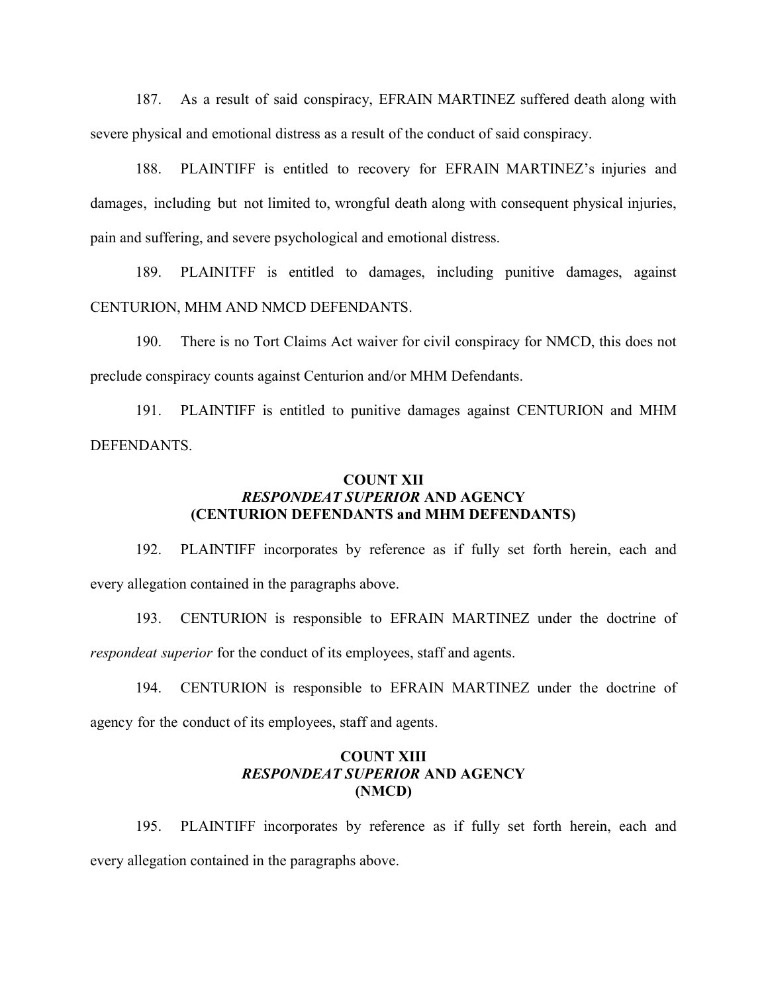187. As a result of said conspiracy, EFRAIN MARTINEZ suffered death along with severe physical and emotional distress as a result of the conduct of said conspiracy.

188. PLAINTIFF is entitled to recovery for EFRAIN MARTINEZ's injuries and damages, including but not limited to, wrongful death along with consequent physical injuries, pain and suffering, and severe psychological and emotional distress.

189. PLAINITFF is entitled to damages, including punitive damages, against CENTURION, MHM AND NMCD DEFENDANTS.

190. There is no Tort Claims Act waiver for civil conspiracy for NMCD, this does not preclude conspiracy counts against Centurion and/or MHM Defendants.

191. PLAINTIFF is entitled to punitive damages against CENTURION and MHM DEFENDANTS.

### COUNT XII RESPONDEAT SUPERIOR AND AGENCY (CENTURION DEFENDANTS and MHM DEFENDANTS)

192. PLAINTIFF incorporates by reference as if fully set forth herein, each and every allegation contained in the paragraphs above.

193. CENTURION is responsible to EFRAIN MARTINEZ under the doctrine of respondeat superior for the conduct of its employees, staff and agents.

194. CENTURION is responsible to EFRAIN MARTINEZ under the doctrine of agency for the conduct of its employees, staff and agents.

# COUNT XIII RESPONDEAT SUPERIOR AND AGENCY (NMCD)

195. PLAINTIFF incorporates by reference as if fully set forth herein, each and every allegation contained in the paragraphs above.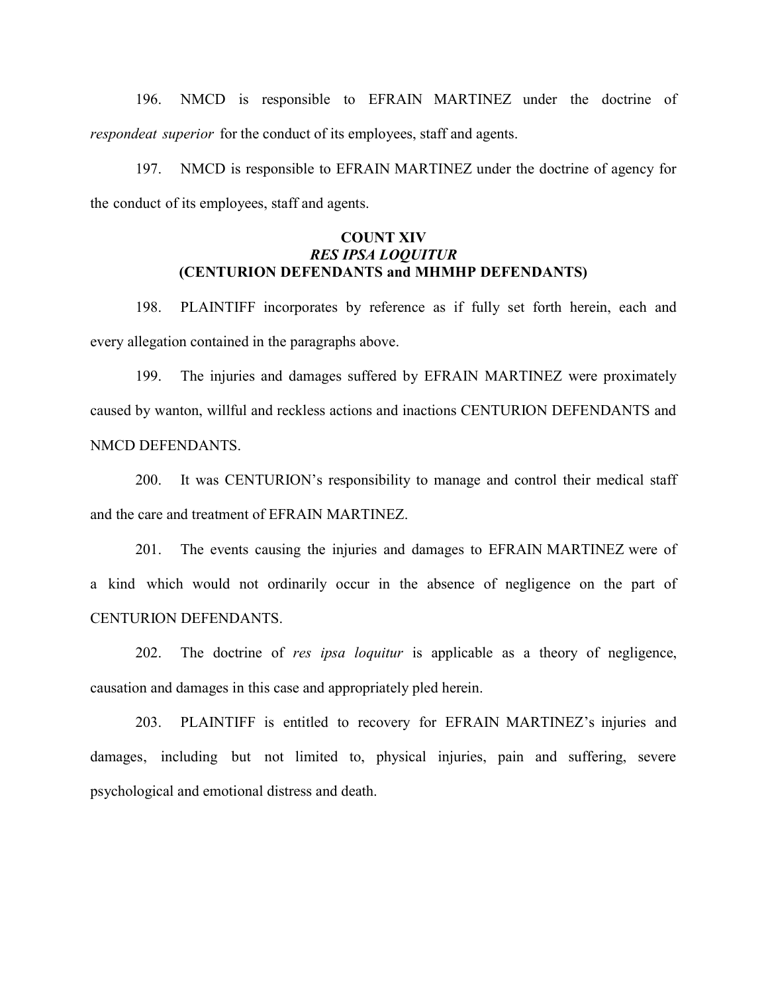196. NMCD is responsible to EFRAIN MARTINEZ under the doctrine of respondeat superior for the conduct of its employees, staff and agents.

197. NMCD is responsible to EFRAIN MARTINEZ under the doctrine of agency for the conduct of its employees, staff and agents.

# COUNT XIV RES IPSA LOQUITUR (CENTURION DEFENDANTS and MHMHP DEFENDANTS)

198. PLAINTIFF incorporates by reference as if fully set forth herein, each and every allegation contained in the paragraphs above.

199. The injuries and damages suffered by EFRAIN MARTINEZ were proximately caused by wanton, willful and reckless actions and inactions CENTURION DEFENDANTS and NMCD DEFENDANTS.

200. It was CENTURION's responsibility to manage and control their medical staff and the care and treatment of EFRAIN MARTINEZ.

201. The events causing the injuries and damages to EFRAIN MARTINEZ were of a kind which would not ordinarily occur in the absence of negligence on the part of CENTURION DEFENDANTS.

202. The doctrine of res ipsa loquitur is applicable as a theory of negligence, causation and damages in this case and appropriately pled herein.

203. PLAINTIFF is entitled to recovery for EFRAIN MARTINEZ's injuries and damages, including but not limited to, physical injuries, pain and suffering, severe psychological and emotional distress and death.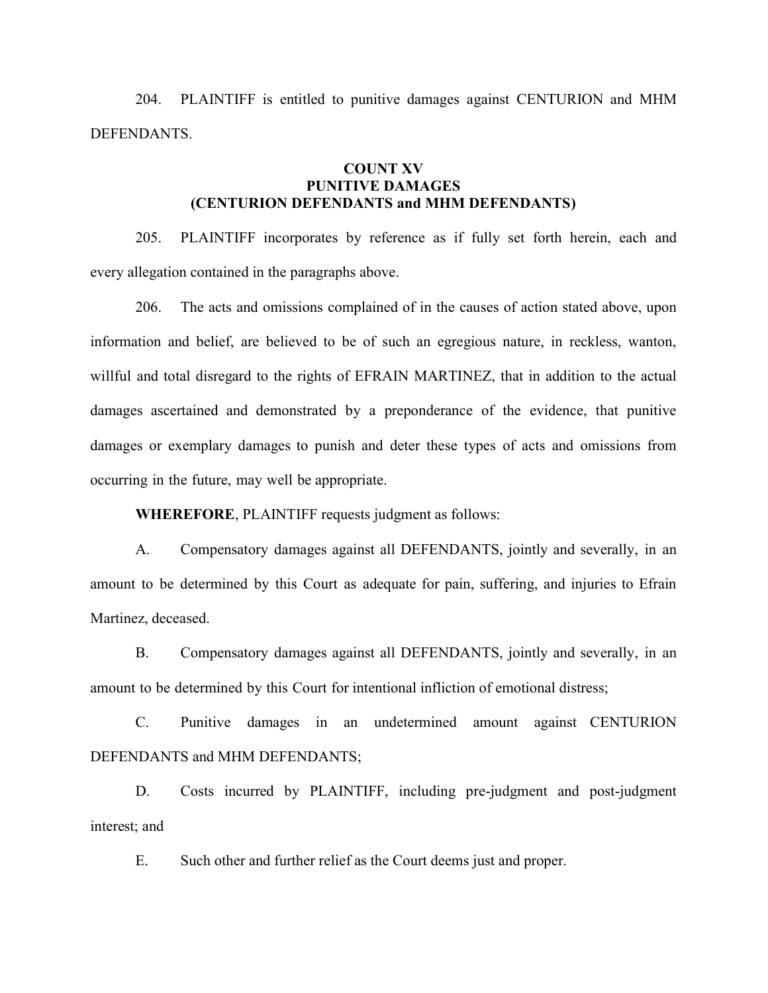204. PLAINTIFF is entitled to punitive damages against CENTURION and MHM DEFENDANTS.

# COUNT XV PUNITIVE DAMAGES (CENTURION DEFENDANTS and MHM DEFENDANTS)

205. PLAINTIFF incorporates by reference as if fully set forth herein, each and every allegation contained in the paragraphs above.

206. The acts and omissions complained of in the causes of action stated above, upon information and belief, are believed to be of such an egregious nature, in reckless, wanton, willful and total disregard to the rights of EFRAIN MARTINEZ, that in addition to the actual damages ascertained and demonstrated by a preponderance of the evidence, that punitive damages or exemplary damages to punish and deter these types of acts and omissions from occurring in the future, may well be appropriate.

WHEREFORE, PLAINTIFF requests judgment as follows:

A. Compensatory damages against all DEFENDANTS, jointly and severally, in an amount to be determined by this Court as adequate for pain, suffering, and injuries to Efrain Martinez, deceased.

B. Compensatory damages against all DEFENDANTS, jointly and severally, in an amount to be determined by this Court for intentional infliction of emotional distress;

C. Punitive damages in an undetermined amount against CENTURION DEFENDANTS and MHM DEFENDANTS;

D. Costs incurred by PLAINTIFF, including pre-judgment and post-judgment interest; and

E. Such other and further relief as the Court deems just and proper.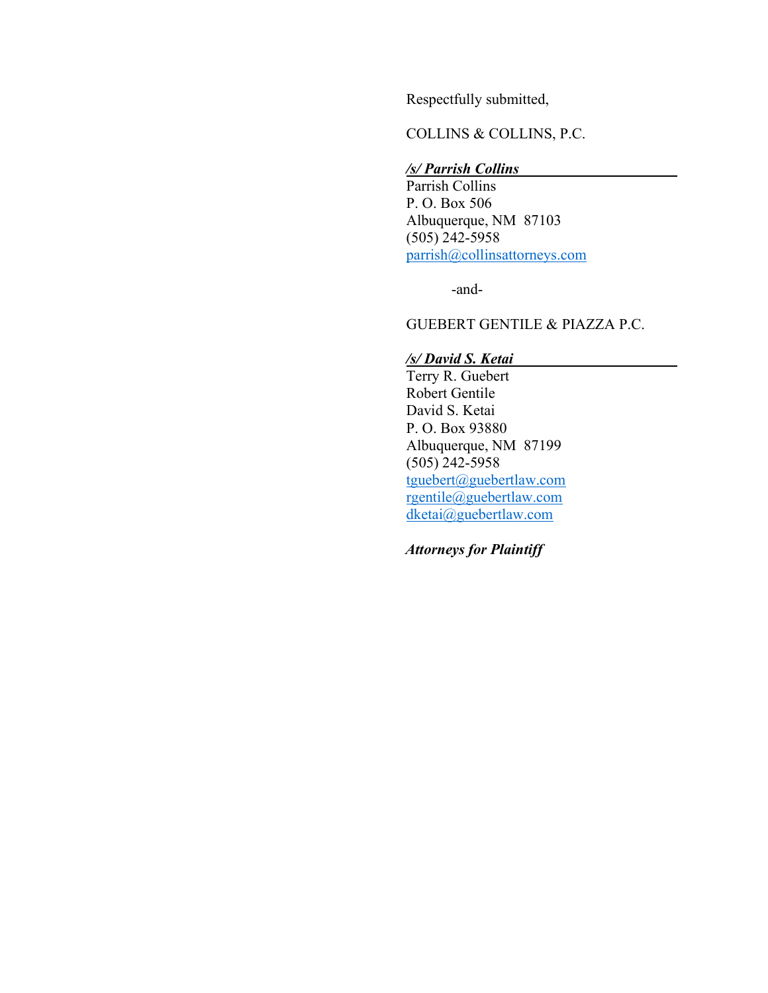Respectfully submitted,

COLLINS & COLLINS, P.C.

# /s/ Parrish Collins

Parrish Collins P. O. Box 506 Albuquerque, NM 87103  $(505)$  242-5958 parrish@collinsattorneys.com

-and-

GUEBERT GENTILE & PIAZZA P.C.

#### /s/ David S. Ketai

Terry R. Guebert Robert Gentile David S. Ketai P. O. Box 93880 Albuquerque, NM 87199 (505) 242-5958 tguebert@guebertlaw.com rgentile@guebertlaw.com dketai@guebertlaw.com

Attorneys for Plaintiff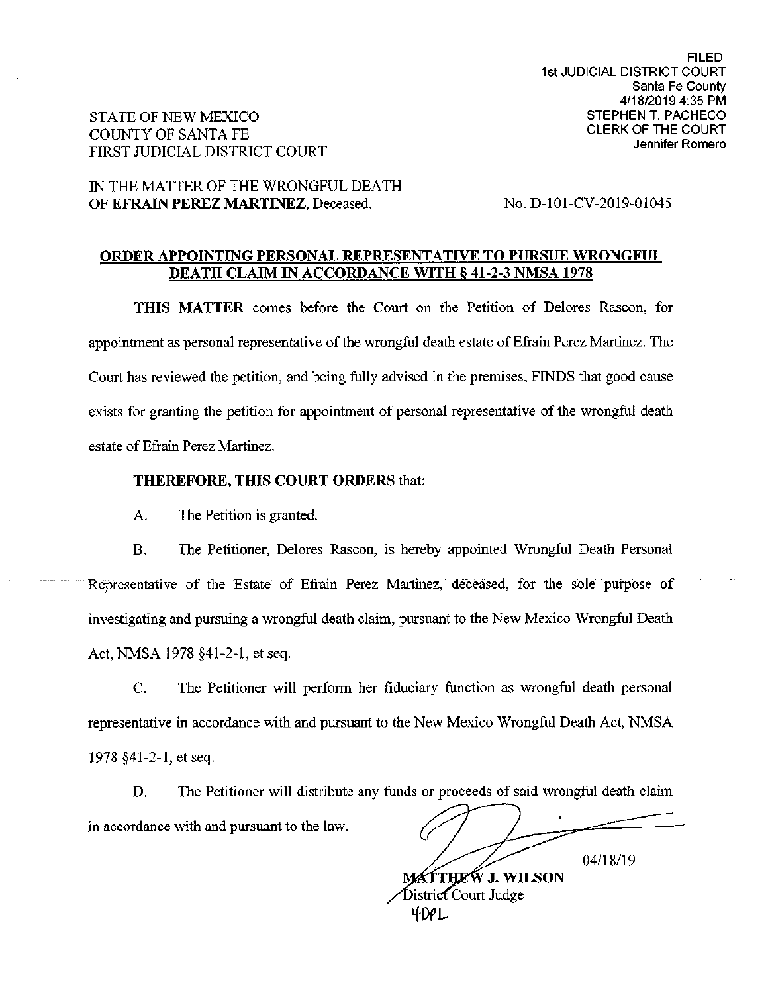# STATE OF NEW MEXICO **COUNTY OF SANTA FE** FIRST JUDICIAL DISTRICT COURT

# IN THE MATTER OF THE WRONGFUL DEATH OF EFRAIN PEREZ MARTINEZ, Deceased.

No. D-101-CV-2019-01045

### ORDER APPOINTING PERSONAL REPRESENTATIVE TO PURSUE WRONGFUL **DEATH CLAIM IN ACCORDANCE WITH \$41-2-3 NMSA 1978**

THIS MATTER comes before the Court on the Petition of Delores Rascon, for appointment as personal representative of the wrongful death estate of Efrain Perez Martinez. The Court has reviewed the petition, and being fully advised in the premises, FINDS that good cause exists for granting the petition for appointment of personal representative of the wrongful death estate of Efrain Perez Martinez.

#### THEREFORE, THIS COURT ORDERS that:

A. The Petition is granted.

The Petitioner, Delores Rascon, is hereby appointed Wrongful Death Personal **B.** Representative of the Estate of Efrain Perez Martinez, deceased, for the sole purpose of investigating and pursuing a wrongful death claim, pursuant to the New Mexico Wrongful Death Act, NMSA 1978 §41-2-1, et seq.

 $C_{\cdot}$ The Petitioner will perform her fiduciary function as wrongful death personal representative in accordance with and pursuant to the New Mexico Wrongful Death Act, NMSA 1978 §41-2-1, et seq.

The Petitioner will distribute any funds or proceeds of said wrongful death claim D. in accordance with and pursuant to the law.

04/18/19

MÁTTHEW J. WILSON District Court Judge 4DPL